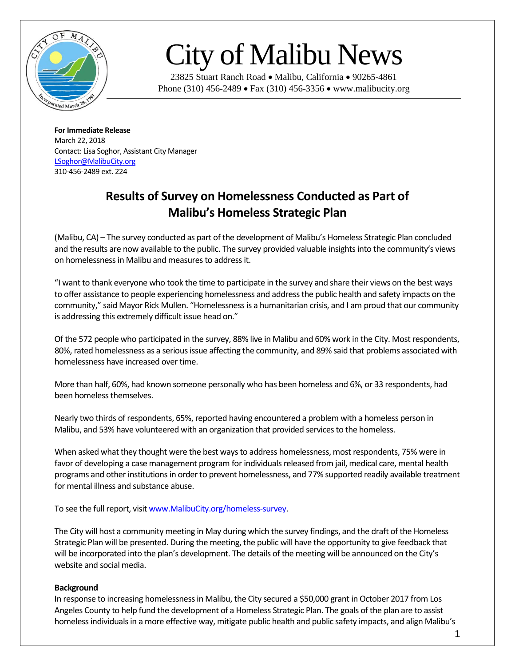

## City of Malibu News

23825 Stuart Ranch Road • Malibu, California • 90265-4861 Phone (310) 456-2489 • Fax (310) 456-3356 • www.malibucity.org

**For Immediate Release** March 22, 2018 Contact: Lisa Soghor, Assistant City Manager [LSoghor@MalibuCity.org](mailto:LSoghor@MalibuCity.org) 310-456-2489 ext. 224

## **Results of Survey on Homelessness Conducted as Part of Malibu's Homeless Strategic Plan**

(Malibu, CA) – The survey conducted as part of the development of Malibu's Homeless Strategic Plan concluded and the results are now available to the public. The survey provided valuable insights into the community's views on homelessness in Malibu and measures to address it.

"I want to thank everyone who took the time to participate in the survey and share their views on the best ways to offer assistance to people experiencing homelessness and address the public health and safety impacts on the community," said Mayor Rick Mullen. "Homelessness is a humanitarian crisis, and I am proud that our community is addressing this extremely difficult issue head on."

Of the 572 people who participated in the survey, 88% live in Malibu and 60% work in the City. Most respondents, 80%, rated homelessness as a serious issue affecting the community, and 89% said that problems associated with homelessness have increased over time.

More than half, 60%, had known someone personally who has been homeless and 6%, or 33 respondents, had been homeless themselves.

Nearly two thirds of respondents, 65%, reported having encountered a problem with a homeless person in Malibu, and 53% have volunteered with an organization that provided services to the homeless.

When asked what they thought were the best ways to address homelessness, most respondents, 75% were in favor of developing a case management program for individuals released from jail, medical care, mental health programs and other institutions in order to prevent homelessness, and 77% supported readily available treatment for mental illness and substance abuse.

To see the full report, visi[t www.MalibuCity.org/homeless-survey.](http://www.malibucity.org/homeless-survey)

The City will host a community meeting in May during which the survey findings, and the draft of the Homeless Strategic Plan will be presented. During the meeting, the public will have the opportunity to give feedback that will be incorporated into the plan's development. The details of the meeting will be announced on the City's website and social media.

## **Background**

In response to increasing homelessness in Malibu, the City secured a \$50,000 grant in October 2017 from Los Angeles County to help fund the development of a Homeless Strategic Plan. The goals of the plan are to assist homeless individuals in a more effective way, mitigate public health and public safety impacts, and align Malibu's